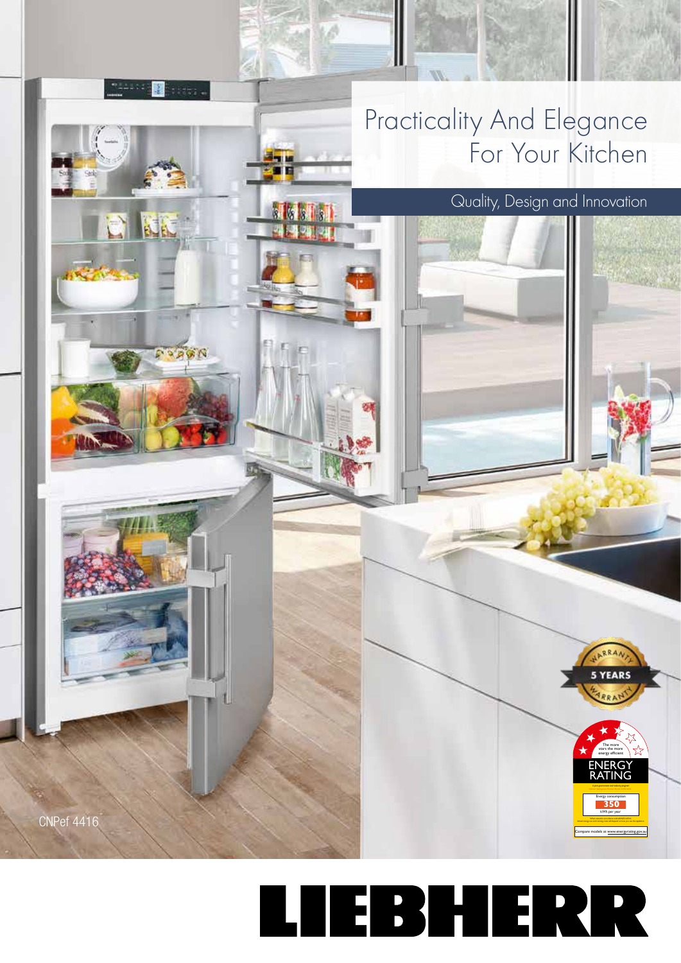

## LIEBHERR